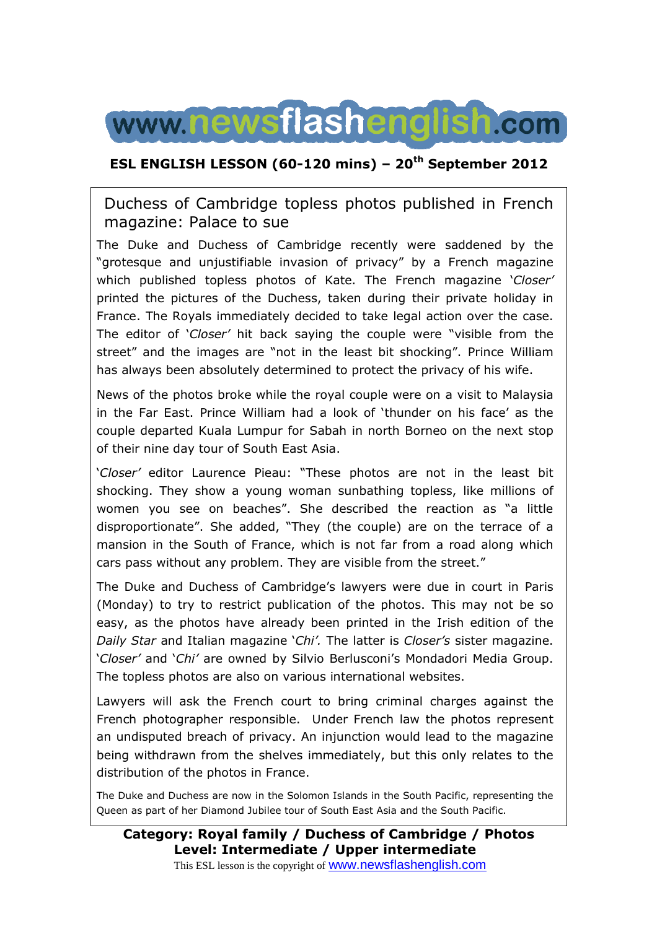

### **ESL ENGLISH LESSON (60-120 mins) – 20th September 2012**

### Duchess of Cambridge topless photos published in French magazine: Palace to sue

The Duke and Duchess of Cambridge recently were saddened by the "grotesque and unjustifiable invasion of privacy" by a French magazine which published topless photos of Kate. The French magazine '*Closer'* printed the pictures of the Duchess, taken during their private holiday in France. The Royals immediately decided to take legal action over the case. The editor of '*Closer'* hit back saying the couple were "visible from the street" and the images are "not in the least bit shocking". Prince William has always been absolutely determined to protect the privacy of his wife.

News of the photos broke while the royal couple were on a visit to Malaysia in the Far East. Prince William had a look of 'thunder on his face' as the couple departed Kuala Lumpur for Sabah in north Borneo on the next stop of their nine day tour of South East Asia.

'*Closer'* editor Laurence Pieau: "These photos are not in the least bit shocking. They show a young woman sunbathing topless, like millions of women you see on beaches". She described the reaction as "a little disproportionate". She added, "They (the couple) are on the terrace of a mansion in the South of France, which is not far from a road along which cars pass without any problem. They are visible from the street."

The Duke and Duchess of Cambridge's lawyers were due in court in Paris (Monday) to try to restrict publication of the photos. This may not be so easy, as the photos have already been printed in the Irish edition of the *Daily Star* and Italian magazine '*Chi'.* The latter is *Closer's* sister magazine. '*Closer'* and '*Chi'* are owned by Silvio Berlusconi's Mondadori Media Group. The topless photos are also on various international websites.

Lawyers will ask the French court to bring criminal charges against the French photographer responsible. Under French law the photos represent an undisputed breach of privacy. An injunction would lead to the magazine being withdrawn from the shelves immediately, but this only relates to the distribution of the photos in France.

The Duke and Duchess are now in the Solomon Islands in the South Pacific, representing the Queen as part of her Diamond Jubilee tour of South East Asia and the South Pacific.

**Category: Royal family / Duchess of Cambridge / Photos Level: Intermediate / Upper intermediate** This ESL lesson is the copyright of www.newsflashenglish.com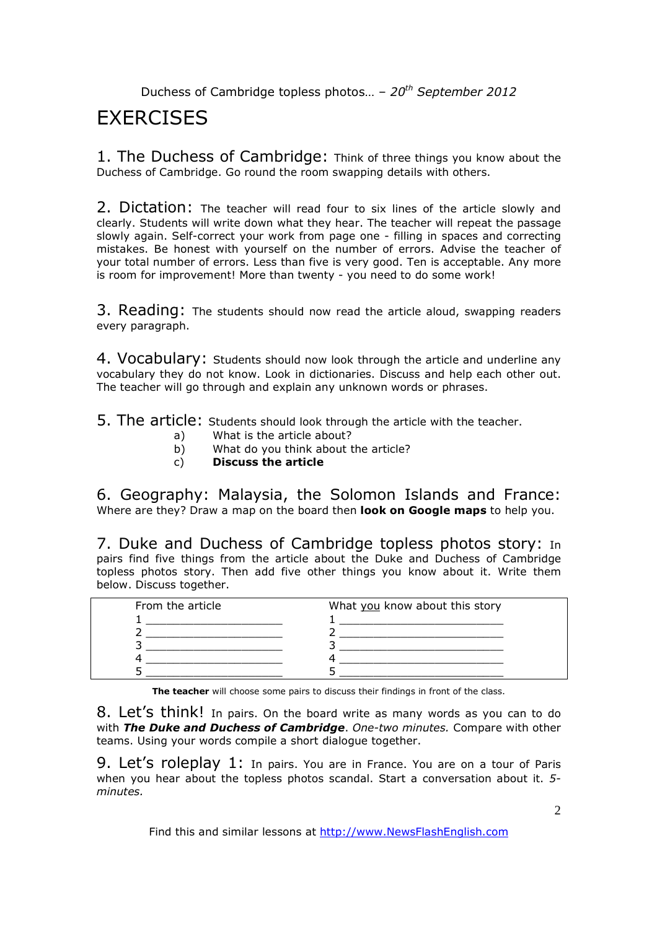# **FXFRCISES**

1. The Duchess of Cambridge: Think of three things you know about the Duchess of Cambridge. Go round the room swapping details with others.

2. Dictation: The teacher will read four to six lines of the article slowly and clearly. Students will write down what they hear. The teacher will repeat the passage slowly again. Self-correct your work from page one - filling in spaces and correcting mistakes. Be honest with yourself on the number of errors. Advise the teacher of your total number of errors. Less than five is very good. Ten is acceptable. Any more is room for improvement! More than twenty - you need to do some work!

3. Reading: The students should now read the article aloud, swapping readers every paragraph.

4. Vocabulary: Students should now look through the article and underline any vocabulary they do not know. Look in dictionaries. Discuss and help each other out. The teacher will go through and explain any unknown words or phrases.

5. The article: Students should look through the article with the teacher.

- a) What is the article about?
- b) What do you think about the article?
- c) **Discuss the article**

6. Geography: Malaysia, the Solomon Islands and France: Where are they? Draw a map on the board then **look on Google maps** to help you.

7. Duke and Duchess of Cambridge topless photos story: In pairs find five things from the article about the Duke and Duchess of Cambridge topless photos story. Then add five other things you know about it. Write them below. Discuss together.

| From the article | What you know about this story |  |
|------------------|--------------------------------|--|
|                  |                                |  |
|                  |                                |  |
|                  |                                |  |
|                  |                                |  |
|                  |                                |  |

**The teacher** will choose some pairs to discuss their findings in front of the class.

8. Let's think! In pairs. On the board write as many words as you can to do with *The Duke and Duchess of Cambridge*. *One-two minutes.* Compare with other teams. Using your words compile a short dialogue together.

9. Let's roleplay 1: In pairs. You are in France. You are on a tour of Paris when you hear about the topless photos scandal. Start a conversation about it. *5 minutes.* 

Find this and similar lessons at http://www.NewsFlashEnglish.com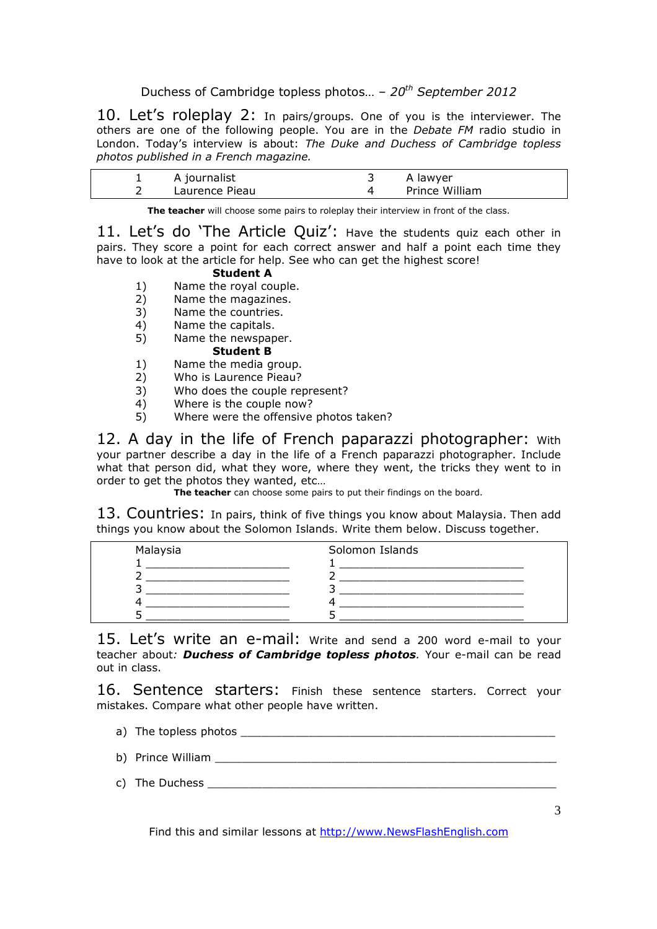10. Let's roleplay 2: In pairs/groups. One of you is the interviewer. The others are one of the following people. You are in the *Debate FM* radio studio in London. Today's interview is about: *The Duke and Duchess of Cambridge topless photos published in a French magazine.* 

| A journalist   | A lawyer       |
|----------------|----------------|
| Laurence Pieau | Prince William |

**The teacher** will choose some pairs to roleplay their interview in front of the class.

11. Let's do 'The Article Quiz': Have the students quiz each other in pairs. They score a point for each correct answer and half a point each time they have to look at the article for help. See who can get the highest score!

### **Student A**

- 1) Name the royal couple.
- 2) Name the magazines.
- 3) Name the countries.
- 4) Name the capitals.
- 5) Name the newspaper.

**Student B** 

- 1) Name the media group.
- 2) Who is Laurence Pieau?
- 3) Who does the couple represent?
- 4) Where is the couple now?<br>5) Where were the offensive
- Where were the offensive photos taken?

12. A day in the life of French paparazzi photographer: With your partner describe a day in the life of a French paparazzi photographer. Include what that person did, what they wore, where they went, the tricks they went to in order to get the photos they wanted, etc…

**The teacher** can choose some pairs to put their findings on the board.

13. Countries: In pairs, think of five things you know about Malaysia. Then add things you know about the Solomon Islands. Write them below. Discuss together.

| Malaysia | Solomon Islands |  |
|----------|-----------------|--|
|          |                 |  |
|          |                 |  |
|          |                 |  |
|          |                 |  |
|          |                 |  |

15. Let's write an e-mail: Write and send a 200 word e-mail to your teacher about*: Duchess of Cambridge topless photos.* Your e-mail can be read out in class.

16. Sentence starters: Finish these sentence starters. Correct your mistakes. Compare what other people have written.

- a) The topless photos \_\_\_\_\_\_\_\_\_\_\_\_\_\_\_\_\_\_\_\_\_\_\_\_\_\_\_\_\_\_\_\_\_\_\_\_\_\_\_\_\_\_\_\_\_\_
- b) Prince William  $\Box$
- c) The Duchess \_\_\_\_\_\_\_\_\_\_\_\_\_\_\_\_\_\_\_\_\_\_\_\_\_\_\_\_\_\_\_\_\_\_\_\_\_\_\_\_\_\_\_\_\_\_\_\_\_\_\_

Find this and similar lessons at http://www.NewsFlashEnglish.com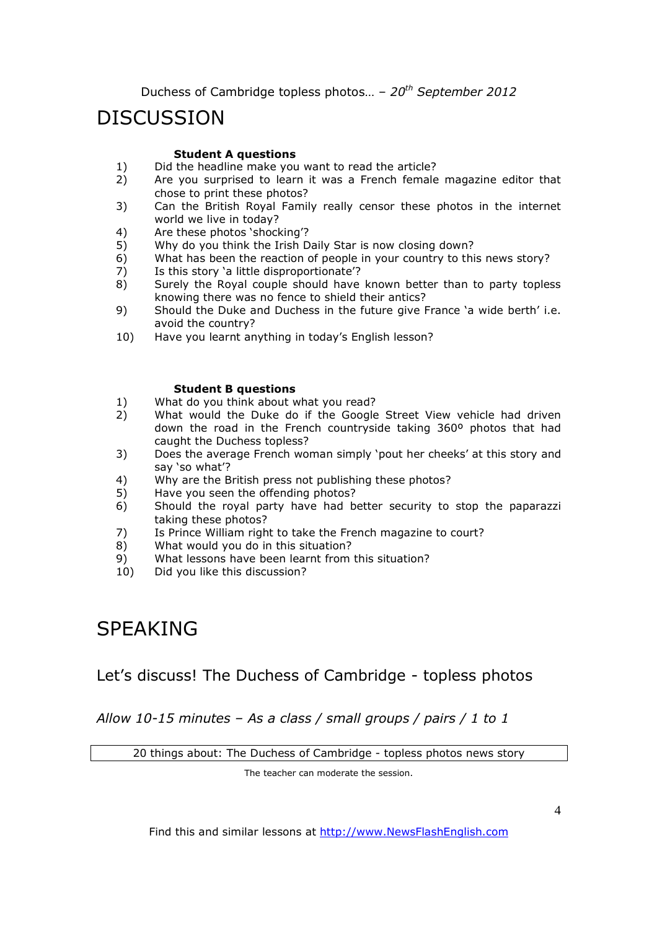# **DISCUSSION**

### **Student A questions**

- 1) Did the headline make you want to read the article?<br>2) Are you surprised to learn it was a French female
- 2) Are you surprised to learn it was a French female magazine editor that chose to print these photos?
- 3) Can the British Royal Family really censor these photos in the internet world we live in today?
- 4) Are these photos 'shocking'?
- 5) Why do you think the Irish Daily Star is now closing down?
- 6) What has been the reaction of people in your country to this news story?
- 7) Is this story 'a little disproportionate'?
- 8) Surely the Royal couple should have known better than to party topless knowing there was no fence to shield their antics?
- 9) Should the Duke and Duchess in the future give France 'a wide berth' i.e. avoid the country?
- 10) Have you learnt anything in today's English lesson?

### **Student B questions**

- 1) What do you think about what you read?
- 2) What would the Duke do if the Google Street View vehicle had driven down the road in the French countryside taking 360º photos that had caught the Duchess topless?
- 3) Does the average French woman simply 'pout her cheeks' at this story and say 'so what'?
- 4) Why are the British press not publishing these photos?
- 5) Have you seen the offending photos?
- 6) Should the royal party have had better security to stop the paparazzi taking these photos?
- 7) Is Prince William right to take the French magazine to court?
- 8) What would you do in this situation?
- 9) What lessons have been learnt from this situation?
- 10) Did you like this discussion?

# SPEAKING

## Let's discuss! The Duchess of Cambridge - topless photos

*Allow 10-15 minutes – As a class / small groups / pairs / 1 to 1* 

20 things about: The Duchess of Cambridge - topless photos news story

The teacher can moderate the session.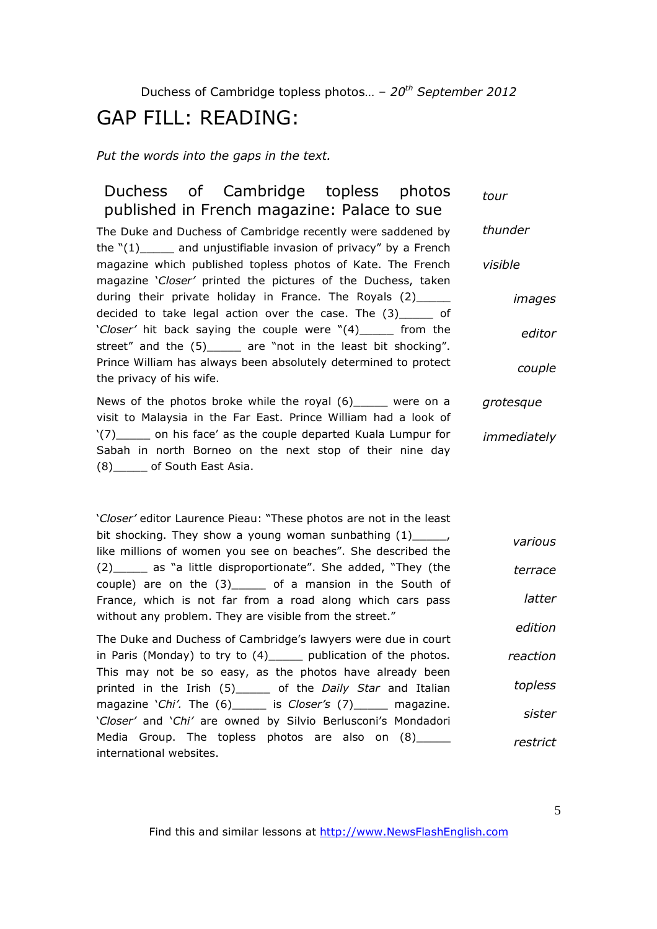## GAP FILL: READING:

*Put the words into the gaps in the text.* 

#### Duchess of Cambridge topless photos published in French magazine: Palace to sue The Duke and Duchess of Cambridge recently were saddened by *tour thunder*

the " $(1)$  and unjustifiable invasion of privacy" by a French magazine which published topless photos of Kate. The French magazine '*Closer'* printed the pictures of the Duchess, taken during their private holiday in France. The Royals (2) decided to take legal action over the case. The (3)\_\_\_\_\_ of '*Closer'* hit back saying the couple were "(4)\_\_\_\_\_ from the street" and the (5)\_\_\_\_\_ are "not in the least bit shocking". Prince William has always been absolutely determined to protect the privacy of his wife. *visible* 

News of the photos broke while the royal (6) were on a visit to Malaysia in the Far East. Prince William had a look of '(7) on his face' as the couple departed Kuala Lumpur for Sabah in north Borneo on the next stop of their nine day (8)\_\_\_\_\_ of South East Asia. *grotesque immediately*

'*Closer'* editor Laurence Pieau: "These photos are not in the least bit shocking. They show a young woman sunbathing (1)  $\blacksquare$ , like millions of women you see on beaches". She described the (2)\_\_\_\_\_ as "a little disproportionate". She added, "They (the couple) are on the  $(3)$  of a mansion in the South of France, which is not far from a road along which cars pass without any problem. They are visible from the street." *various terrace latter edition*

The Duke and Duchess of Cambridge's lawyers were due in court in Paris (Monday) to try to  $(4)$  publication of the photos. This may not be so easy, as the photos have already been printed in the Irish (5)\_\_\_\_\_ of the *Daily Star* and Italian magazine '*Chi'.* The (6)\_\_\_\_\_ is *Closer's* (7)\_\_\_\_\_ magazine. '*Closer'* and '*Chi'* are owned by Silvio Berlusconi's Mondadori Media Group. The topless photos are also on (8)\_\_\_\_\_\_ international websites. *reaction topless sister restrict*

Find this and similar lessons at http://www.NewsFlashEnglish.com

*images*

*editor*

*couple*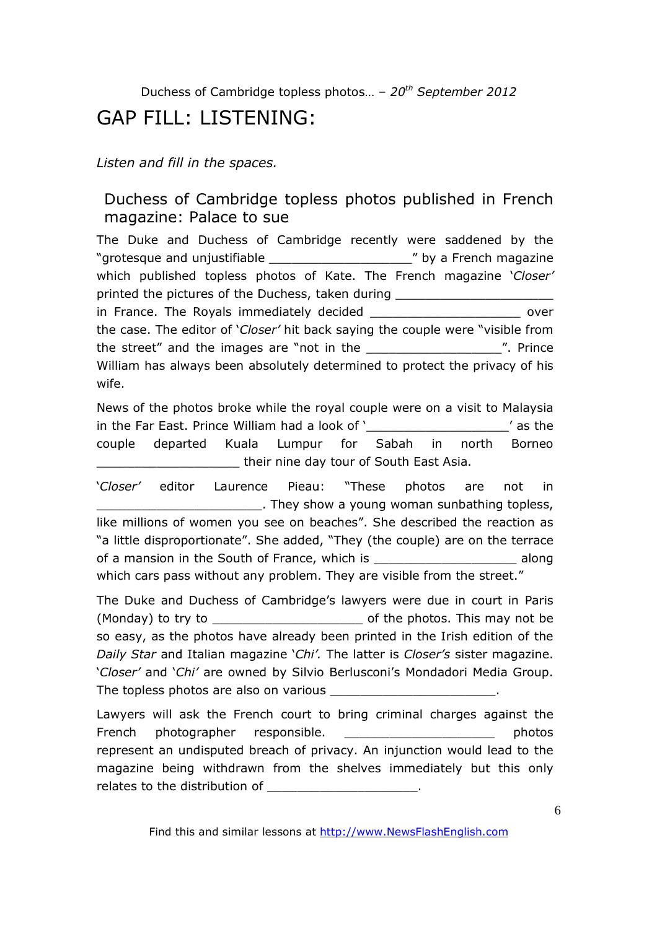# GAP FILL: LISTENING:

### *Listen and fill in the spaces.*

## Duchess of Cambridge topless photos published in French magazine: Palace to sue

The Duke and Duchess of Cambridge recently were saddened by the "grotesque and unjustifiable \_\_\_\_\_\_\_\_\_\_\_\_\_\_\_\_\_\_\_" by a French magazine which published topless photos of Kate. The French magazine '*Closer'* printed the pictures of the Duchess, taken during \_\_\_\_\_\_\_\_\_\_\_\_\_\_\_\_\_\_\_\_\_\_\_\_\_\_\_\_\_\_ in France. The Royals immediately decided example the state over the case. The editor of '*Closer'* hit back saying the couple were "visible from the street" and the images are "not in the The Theorem 2011 In the street" and the images are "not in the William has always been absolutely determined to protect the privacy of his wife.

News of the photos broke while the royal couple were on a visit to Malaysia in the Far East. Prince William had a look of '\_\_\_\_\_\_\_\_\_\_\_\_\_\_\_\_\_\_\_' as the couple departed Kuala Lumpur for Sabah in north Borneo **their nine day tour of South East Asia.** 

'*Closer'* editor Laurence Pieau: "These photos are not in **wake the show a young woman sunbathing topless,** like millions of women you see on beaches". She described the reaction as "a little disproportionate". She added, "They (the couple) are on the terrace of a mansion in the South of France, which is \_\_\_\_\_\_\_\_\_\_\_\_\_\_\_\_\_\_\_ along which cars pass without any problem. They are visible from the street."

The Duke and Duchess of Cambridge's lawyers were due in court in Paris (Monday) to try to **the contract of the photos.** This may not be so easy, as the photos have already been printed in the Irish edition of the *Daily Star* and Italian magazine '*Chi'.* The latter is *Closer's* sister magazine. '*Closer'* and '*Chi'* are owned by Silvio Berlusconi's Mondadori Media Group. The topless photos are also on various

Lawyers will ask the French court to bring criminal charges against the French photographer responsible. The example of the photos photos represent an undisputed breach of privacy. An injunction would lead to the magazine being withdrawn from the shelves immediately but this only relates to the distribution of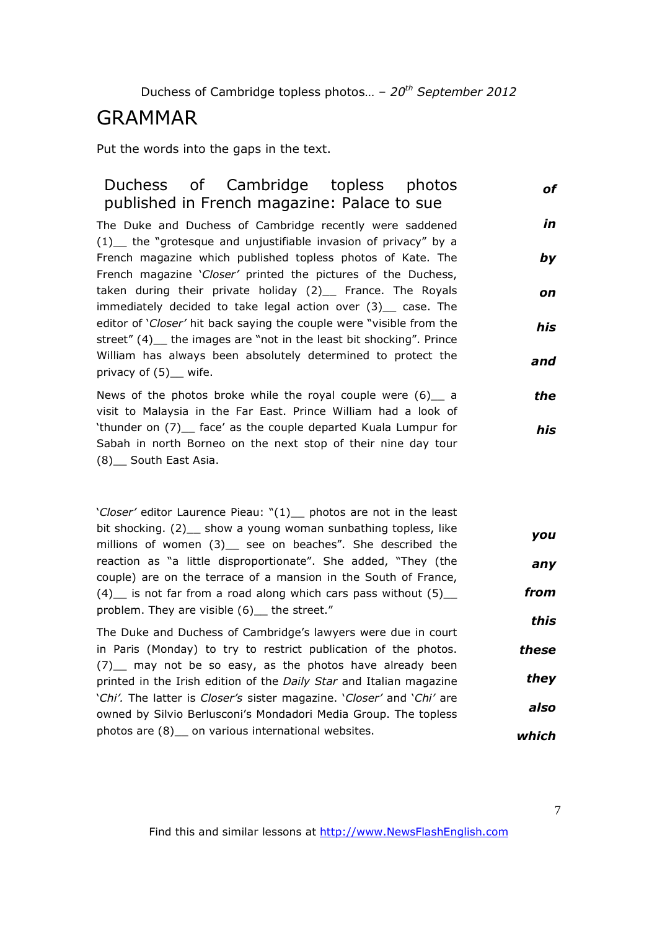## GRAMMAR

Put the words into the gaps in the text.

#### Duchess of Cambridge topless photos published in French magazine: Palace to sue The Duke and Duchess of Cambridge recently were saddened (1)\_\_ the "grotesque and unjustifiable invasion of privacy" by a French magazine which published topless photos of Kate. The French magazine '*Closer'* printed the pictures of the Duchess, taken during their private holiday (2)\_\_ France. The Royals immediately decided to take legal action over (3) case. The editor of '*Closer'* hit back saying the couple were "visible from the street" (4) the images are "not in the least bit shocking". Prince William has always been absolutely determined to protect the privacy of (5) \_ wife. *of in by on his and*

News of the photos broke while the royal couple were  $(6)$  a visit to Malaysia in the Far East. Prince William had a look of 'thunder on (7) face' as the couple departed Kuala Lumpur for Sabah in north Borneo on the next stop of their nine day tour (8)\_\_ South East Asia. *the his*

'*Closer'* editor Laurence Pieau: "(1)\_\_ photos are not in the least bit shocking. (2) show a young woman sunbathing topless, like millions of women (3)\_ see on beaches". She described the reaction as "a little disproportionate". She added, "They (the couple) are on the terrace of a mansion in the South of France,  $(4)$  is not far from a road along which cars pass without  $(5)$ problem. They are visible (6) the street." *you any from this*

The Duke and Duchess of Cambridge's lawyers were due in court in Paris (Monday) to try to restrict publication of the photos. (7)\_\_ may not be so easy, as the photos have already been printed in the Irish edition of the *Daily Star* and Italian magazine '*Chi'.* The latter is *Closer's* sister magazine. '*Closer'* and '*Chi'* are owned by Silvio Berlusconi's Mondadori Media Group. The topless photos are (8) on various international websites. *these they also which*